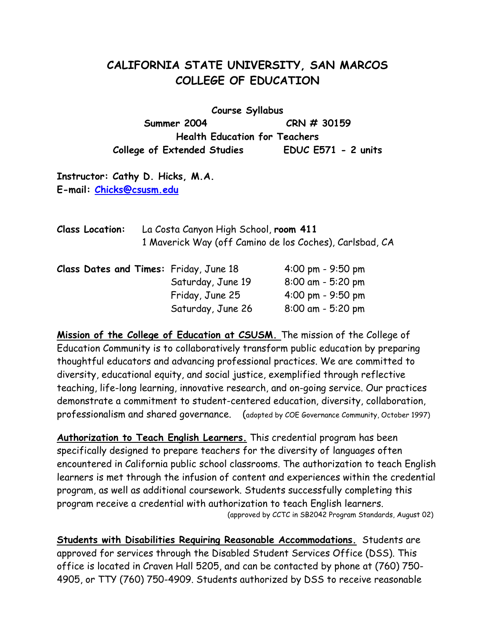# **CALIFORNIA STATE UNIVERSITY, SAN MARCOS COLLEGE OF EDUCATION**

**Course Syllabus Summer 2004 CRN # 30159 Health Education for Teachers College of Extended Studies EDUC E571 - 2 units** 

**Instructor: Cathy D. Hicks, M.A. E-mail: Chicks@csusm.edu**

| <b>Class Location:</b>                 | La Costa Canyon High School, room 411<br>1 Maverick Way (off Camino de los Coches), Carlsbad, CA |                   |                                     |
|----------------------------------------|--------------------------------------------------------------------------------------------------|-------------------|-------------------------------------|
| Class Dates and Times: Friday, June 18 |                                                                                                  |                   | $4:00 \text{ pm} - 9:50 \text{ pm}$ |
|                                        |                                                                                                  | Saturday, June 19 | $8:00$ am - 5:20 pm                 |
|                                        |                                                                                                  | Friday, June 25   | 4:00 pm - $9:50$ pm                 |
|                                        |                                                                                                  | Saturday, June 26 | 8:00 am - 5:20 pm                   |

**Mission of the College of Education at CSUSM.** The mission of the College of Education Community is to collaboratively transform public education by preparing thoughtful educators and advancing professional practices. We are committed to diversity, educational equity, and social justice, exemplified through reflective teaching, life-long learning, innovative research, and on-going service. Our practices demonstrate a commitment to student-centered education, diversity, collaboration, professionalism and shared governance. (adopted by COE Governance Community, October 1997)

**Authorization to Teach English Learners.** This credential program has been specifically designed to prepare teachers for the diversity of languages often encountered in California public school classrooms. The authorization to teach English learners is met through the infusion of content and experiences within the credential program, as well as additional coursework. Students successfully completing this program receive a credential with authorization to teach English learners. (approved by CCTC in SB2042 Program Standards, August 02)

**Students with Disabilities Requiring Reasonable Accommodations.** Students are approved for services through the Disabled Student Services Office (DSS). This office is located in Craven Hall 5205, and can be contacted by phone at (760) 750- 4905, or TTY (760) 750-4909. Students authorized by DSS to receive reasonable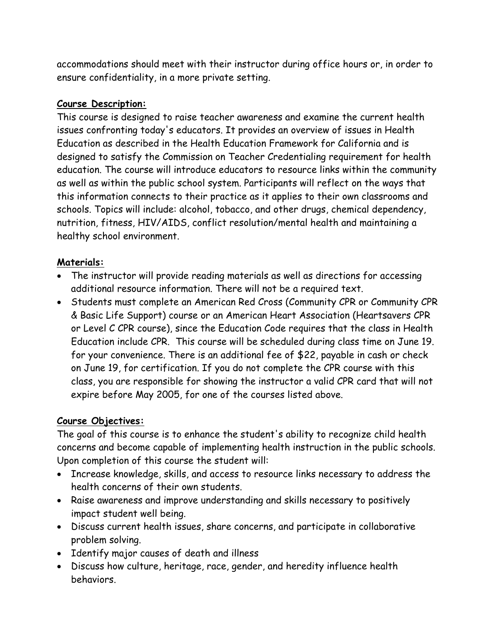accommodations should meet with their instructor during office hours or, in order to ensure confidentiality, in a more private setting.

#### **Course Description:**

This course is designed to raise teacher awareness and examine the current health issues confronting today's educators. It provides an overview of issues in Health Education as described in the Health Education Framework for California and is designed to satisfy the Commission on Teacher Credentialing requirement for health education. The course will introduce educators to resource links within the community as well as within the public school system. Participants will reflect on the ways that this information connects to their practice as it applies to their own classrooms and schools. Topics will include: alcohol, tobacco, and other drugs, chemical dependency, nutrition, fitness, HIV/AIDS, conflict resolution/mental health and maintaining a healthy school environment.

### **Materials:**

- The instructor will provide reading materials as well as directions for accessing additional resource information. There will not be a required text.
- Students must complete an American Red Cross (Community CPR or Community CPR & Basic Life Support) course or an American Heart Association (Heartsavers CPR or Level C CPR course), since the Education Code requires that the class in Health Education include CPR. This course will be scheduled during class time on June 19. for your convenience. There is an additional fee of \$22, payable in cash or check on June 19, for certification. If you do not complete the CPR course with this class, you are responsible for showing the instructor a valid CPR card that will not expire before May 2005, for one of the courses listed above.

## **Course Objectives:**

The goal of this course is to enhance the student's ability to recognize child health concerns and become capable of implementing health instruction in the public schools. Upon completion of this course the student will:

- Increase knowledge, skills, and access to resource links necessary to address the health concerns of their own students.
- Raise awareness and improve understanding and skills necessary to positively impact student well being.
- Discuss current health issues, share concerns, and participate in collaborative problem solving.
- Identify major causes of death and illness
- Discuss how culture, heritage, race, gender, and heredity influence health behaviors.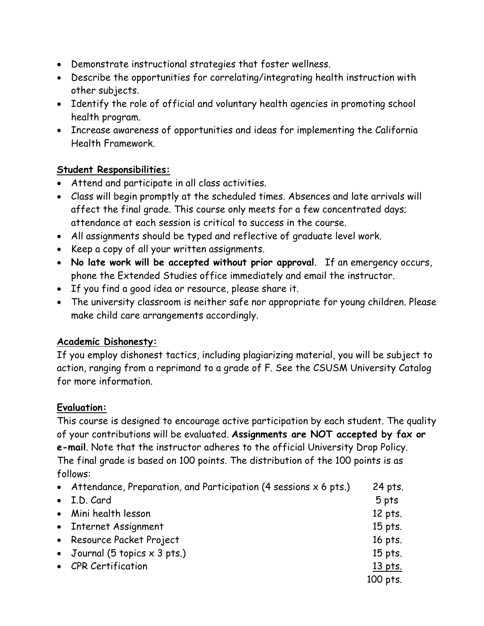- Demonstrate instructional strategies that foster wellness.
- Describe the opportunities for correlating/integrating health instruction with other subjects.
- Identify the role of official and voluntary health agencies in promoting school health program.
- Increase awareness of opportunities and ideas for implementing the California Health Framework.

## **Student Responsibilities:**

- Attend and participate in all class activities.
- Class will begin promptly at the scheduled times. Absences and late arrivals will affect the final grade. This course only meets for a few concentrated days; attendance at each session is critical to success in the course.
- All assignments should be typed and reflective of graduate level work.
- Keep a copy of all your written assignments.
- **No late work will be accepted without prior approval**. If an emergency occurs, phone the Extended Studies office immediately and email the instructor.
- If you find a good idea or resource, please share it.
- The university classroom is neither safe nor appropriate for young children. Please make child care arrangements accordingly.

## **Academic Dishonesty:**

If you employ dishonest tactics, including plagiarizing material, you will be subject to action, ranging from a reprimand to a grade of F. See the CSUSM University Catalog for more information.

## **Evaluation:**

This course is designed to encourage active participation by each student. The quality of your contributions will be evaluated. **Assignments are NOT accepted by fax or e-mail**. Note that the instructor adheres to the official University Drop Policy. The final grade is based on 100 points. The distribution of the 100 points is as follows:

| • Attendance, Preparation, and Participation (4 sessions $x$ 6 pts.) | 24 pts.  |
|----------------------------------------------------------------------|----------|
| • I.D. Card                                                          | 5 pts    |
| • Mini health lesson                                                 | 12 pts.  |
| • Internet Assignment                                                | 15 pts.  |
| • Resource Packet Project                                            | 16 pts.  |
| • Journal (5 topics $\times$ 3 pts.)                                 | 15 pts.  |
| • CPR Certification                                                  | 13 pts.  |
|                                                                      | 100 pts. |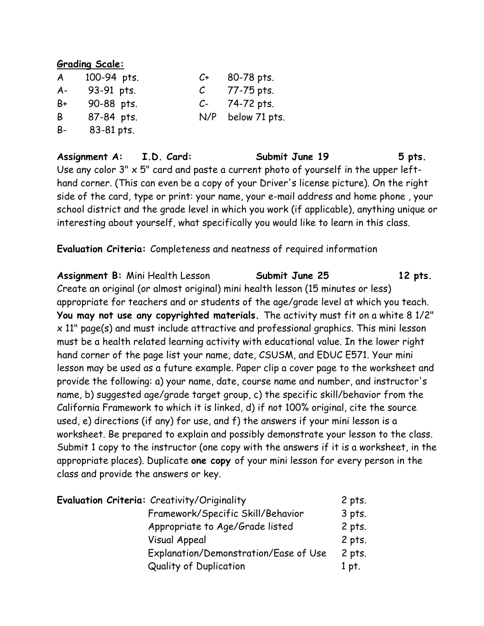#### **Grading Scale:**

| $\boldsymbol{A}$ | 100-94 pts. | C+            | 80-78 pts.    |
|------------------|-------------|---------------|---------------|
| $A -$            | 93-91 pts.  | $\mathcal{C}$ | 77-75 pts.    |
| B+               | 90-88 pts.  | $C-$          | 74-72 pts.    |
| B                | 87-84 pts.  | N/P           | below 71 pts. |
| B-               | 83-81 pts.  |               |               |

Assignment A: I.D. Card: Submit June 19 5 pts. Use any color 3" x 5" card and paste a current photo of yourself in the upper lefthand corner. (This can even be a copy of your Driver's license picture). On the right side of the card, type or print: your name, your e-mail address and home phone , your school district and the grade level in which you work (if applicable), anything unique or interesting about yourself, what specifically you would like to learn in this class.

**Evaluation Criteria:** Completeness and neatness of required information

Assignment B: Mini Health Lesson **Submit June 25** 12 pts. Create an original (or almost original) mini health lesson (15 minutes or less) appropriate for teachers and or students of the age/grade level at which you teach. **You may not use any copyrighted materials.** The activity must fit on a white 8 1/2" x 11" page(s) and must include attractive and professional graphics. This mini lesson must be a health related learning activity with educational value. In the lower right hand corner of the page list your name, date, CSUSM, and EDUC E571. Your mini lesson may be used as a future example. Paper clip a cover page to the worksheet and provide the following: a) your name, date, course name and number, and instructor's name, b) suggested age/grade target group, c) the specific skill/behavior from the California Framework to which it is linked, d) if not 100% original, cite the source used, e) directions (if any) for use, and f) the answers if your mini lesson is a worksheet. Be prepared to explain and possibly demonstrate your lesson to the class. Submit 1 copy to the instructor (one copy with the answers if it is a worksheet, in the appropriate places). Duplicate **one copy** of your mini lesson for every person in the class and provide the answers or key.

| Evaluation Criteria: Creativity/Originality | $2$ pts. |
|---------------------------------------------|----------|
| Framework/Specific Skill/Behavior           | $3$ pts. |
| Appropriate to Age/Grade listed             | $2$ pts. |
| Visual Appeal                               | $2$ pts. |
| Explanation/Demonstration/Ease of Use       | $2$ pts. |
| <b>Quality of Duplication</b>               | 1 pt.    |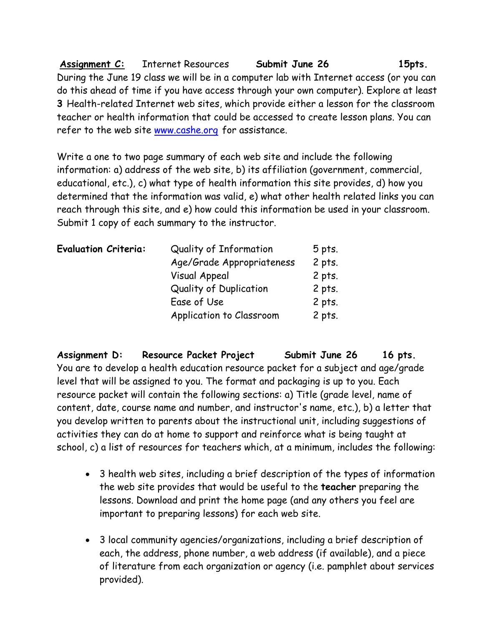**Assignment C:** Internet Resources **Submit June 26 15pts.**  During the June 19 class we will be in a computer lab with Internet access (or you can do this ahead of time if you have access through your own computer). Explore at least **3** Health-related Internet web sites, which provide either a lesson for the classroom teacher or health information that could be accessed to create lesson plans. You can refer to the web site www.cashe.org for assistance.

Write a one to two page summary of each web site and include the following information: a) address of the web site, b) its affiliation (government, commercial, educational, etc.), c) what type of health information this site provides, d) how you determined that the information was valid, e) what other health related links you can reach through this site, and e) how could this information be used in your classroom. Submit 1 copy of each summary to the instructor.

| <b>Evaluation Criteria:</b> | Quality of Information        | $5$ pts. |
|-----------------------------|-------------------------------|----------|
|                             | Age/Grade Appropriateness     | $2$ pts. |
|                             | Visual Appeal                 | $2$ pts. |
|                             | <b>Quality of Duplication</b> | $2$ pts. |
|                             | Ease of Use                   | $2$ pts. |
|                             | Application to Classroom      | $2$ pts. |

**Assignment D: Resource Packet Project Submit June 26 16 pts.**  You are to develop a health education resource packet for a subject and age/grade level that will be assigned to you. The format and packaging is up to you. Each resource packet will contain the following sections: a) Title (grade level, name of content, date, course name and number, and instructor's name, etc.), b) a letter that you develop written to parents about the instructional unit, including suggestions of activities they can do at home to support and reinforce what is being taught at school, c) a list of resources for teachers which, at a minimum, includes the following:

- 3 health web sites, including a brief description of the types of information the web site provides that would be useful to the **teacher** preparing the lessons. Download and print the home page (and any others you feel are important to preparing lessons) for each web site.
- 3 local community agencies/organizations, including a brief description of each, the address, phone number, a web address (if available), and a piece of literature from each organization or agency (i.e. pamphlet about services provided).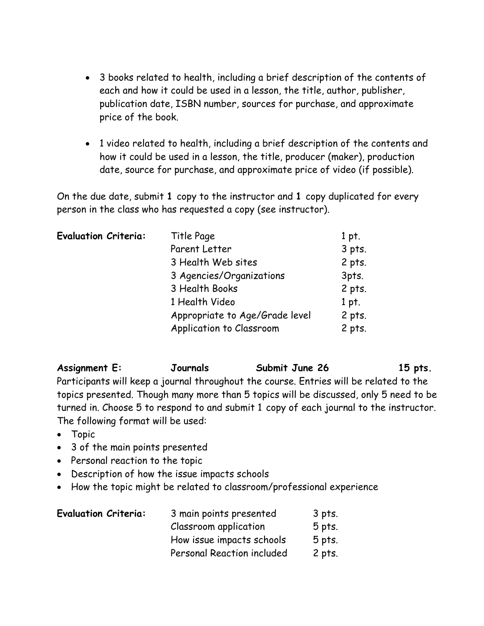- 3 books related to health, including a brief description of the contents of each and how it could be used in a lesson, the title, author, publisher, publication date, ISBN number, sources for purchase, and approximate price of the book.
- 1 video related to health, including a brief description of the contents and how it could be used in a lesson, the title, producer (maker), production date, source for purchase, and approximate price of video (if possible).

On the due date, submit **1** copy to the instructor and **1** copy duplicated for every person in the class who has requested a copy (see instructor).

| <b>Evaluation Criteria:</b> | Title Page                     | $1$ pt.  |
|-----------------------------|--------------------------------|----------|
|                             | Parent Letter                  | $3$ pts. |
|                             | 3 Health Web sites             | $2$ pts. |
|                             | 3 Agencies/Organizations       | 3pts.    |
|                             | 3 Health Books                 | 2 pts.   |
|                             | 1 Health Video                 | 1 pt.    |
|                             | Appropriate to Age/Grade level | $2$ pts. |
|                             | Application to Classroom       | $2$ pts. |

## Assignment E: **Journals** Submit June 26 15 pts.

Participants will keep a journal throughout the course. Entries will be related to the topics presented. Though many more than 5 topics will be discussed, only 5 need to be turned in. Choose 5 to respond to and submit 1 copy of each journal to the instructor. The following format will be used:

- Topic
- 3 of the main points presented
- Personal reaction to the topic
- Description of how the issue impacts schools
- How the topic might be related to classroom/professional experience

| <b>Evaluation Criteria:</b> | 3 main points presented    | 3 pts.   |
|-----------------------------|----------------------------|----------|
|                             | Classroom application      | $5$ pts. |
|                             | How issue impacts schools  | $5$ pts. |
|                             | Personal Reaction included | 2 pts.   |